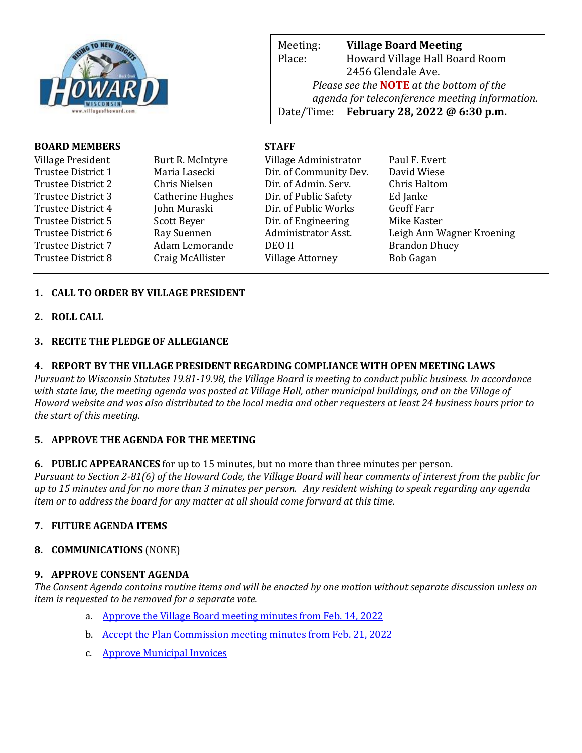

Meeting: **Village Board Meeting** Place: Howard Village Hall Board Room 2456 Glendale Ave. *Please see the* **NOTE** *at the bottom of the agenda for teleconference meeting information.*  Date/Time: **February 28, 2022 @ 6:30 p.m.**

web Page: www.villageoff.com

## **BOARD MEMBERS STAFF**

| Village President  | Burt R. McIntyre        | Village Administrator   | Paul F. Evert             |
|--------------------|-------------------------|-------------------------|---------------------------|
| Trustee District 1 | Maria Lasecki           | Dir. of Community Dev.  | David Wiese               |
| Trustee District 2 | Chris Nielsen           | Dir. of Admin. Serv.    | Chris Haltom              |
| Trustee District 3 | <b>Catherine Hughes</b> | Dir. of Public Safety   | Ed Janke                  |
| Trustee District 4 | John Muraski            | Dir. of Public Works    | <b>Geoff Farr</b>         |
| Trustee District 5 | <b>Scott Beyer</b>      | Dir. of Engineering     | Mike Kaster               |
| Trustee District 6 | Ray Suennen             | Administrator Asst.     | Leigh Ann Wagner Kroening |
| Trustee District 7 | Adam Lemorande          | <b>DEO II</b>           | <b>Brandon Dhuey</b>      |
| Trustee District 8 | Craig McAllister        | <b>Village Attorney</b> | <b>Bob Gagan</b>          |
|                    |                         |                         |                           |

# **1. CALL TO ORDER BY VILLAGE PRESIDENT**

**2. ROLL CALL**

#### **3. RECITE THE PLEDGE OF ALLEGIANCE**

#### **4. REPORT BY THE VILLAGE PRESIDENT REGARDING COMPLIANCE WITH OPEN MEETING LAWS**

*Pursuant to Wisconsin Statutes 19.81-19.98, the Village Board is meeting to conduct public business. In accordance with state law, the meeting agenda was posted at Village Hall, other municipal buildings, and on the Village of Howard website and was also distributed to the local media and other requesters at least 24 business hours prior to the start of this meeting.* 

## **5. APPROVE THE AGENDA FOR THE MEETING**

**6. PUBLIC APPEARANCES** for up to 15 minutes, but no more than three minutes per person.

*Pursuant to Section 2-81(6) of the Howard Code, the Village Board will hear comments of interest from the public for up to 15 minutes and for no more than 3 minutes per person. Any resident wishing to speak regarding any agenda item or to address the board for any matter at all should come forward at this time.* 

## **7. FUTURE AGENDA ITEMS**

## **8. COMMUNICATIONS** (NONE)

#### **9. APPROVE CONSENT AGENDA**

*The Consent Agenda contains routine items and will be enacted by one motion without separate discussion unless an item is requested to be removed for a separate vote.*

- a. [Approve the Village Board meeting minutes from Feb. 14, 2022](https://www.villageofhoward.com/DocumentCenter/View/8153/9a-VB-Minutes-02-14-22)
- b. [Accept the Plan Commission meeting minutes from Feb. 21, 2022](https://www.villageofhoward.com/DocumentCenter/View/8154/9b-PC-Minutes-02-21-22)
- c. [Approve Municipal Invoices](https://www.villageofhoward.com/DocumentCenter/View/8155/9c-Municipal-Invoices)